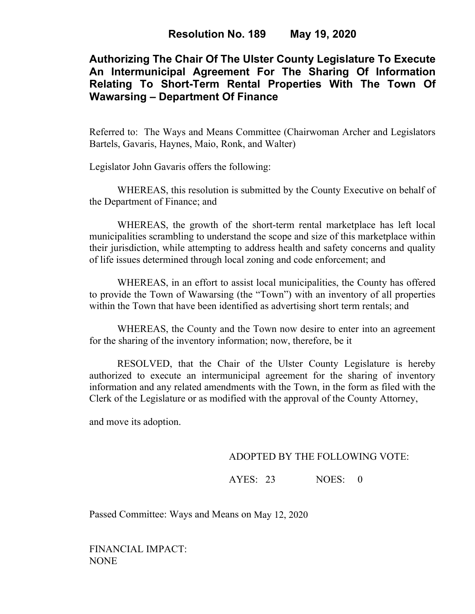# **Authorizing The Chair Of The Ulster County Legislature To Execute An Intermunicipal Agreement For The Sharing Of Information Relating To Short-Term Rental Properties With The Town Of Wawarsing – Department Of Finance**

Referred to: The Ways and Means Committee (Chairwoman Archer and Legislators Bartels, Gavaris, Haynes, Maio, Ronk, and Walter)

Legislator John Gavaris offers the following:

WHEREAS, this resolution is submitted by the County Executive on behalf of the Department of Finance; and

WHEREAS, the growth of the short-term rental marketplace has left local municipalities scrambling to understand the scope and size of this marketplace within their jurisdiction, while attempting to address health and safety concerns and quality of life issues determined through local zoning and code enforcement; and

WHEREAS, in an effort to assist local municipalities, the County has offered to provide the Town of Wawarsing (the "Town") with an inventory of all properties within the Town that have been identified as advertising short term rentals; and

WHEREAS, the County and the Town now desire to enter into an agreement for the sharing of the inventory information; now, therefore, be it

RESOLVED, that the Chair of the Ulster County Legislature is hereby authorized to execute an intermunicipal agreement for the sharing of inventory information and any related amendments with the Town, in the form as filed with the Clerk of the Legislature or as modified with the approval of the County Attorney,

and move its adoption.

## ADOPTED BY THE FOLLOWING VOTE:

AYES: 23 NOES: 0

Passed Committee: Ways and Means on May 12, 2020

FINANCIAL IMPACT: NONE